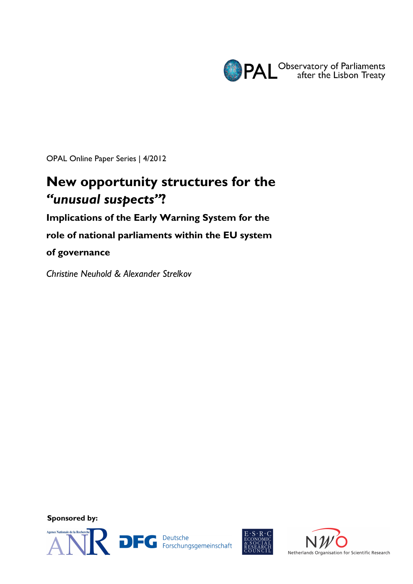

OPAL Online Paper Series | 4/2012

# **New opportunity structures for the**  *"unusual suspects"***?**

**Implications of the Early Warning System for the** 

**role of national parliaments within the EU system** 

**of governance**

*Christine Neuhold & Alexander Strelkov* 

**Sponsored by:** 



DEC Deutsche<br>
Forschungsgemeinschaft



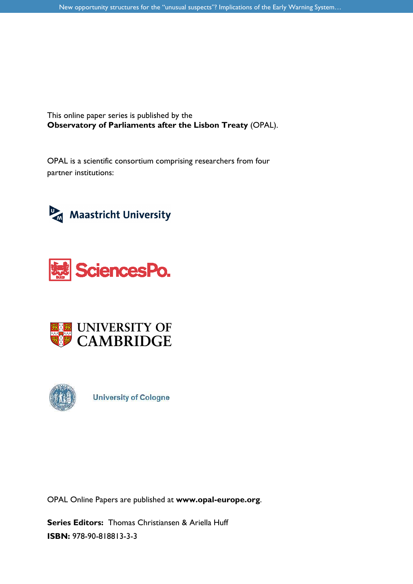This online paper series is published by the **Observatory of Parliaments after the Lisbon Treaty** (OPAL).

OPAL is a scientific consortium comprising researchers from four partner institutions:









**University of Cologne** 

OPAL Online Papers are published at **www.opal-europe.org**.

**Series Editors:** Thomas Christiansen & Ariella Huff **ISBN:** 978-90-818813-3-3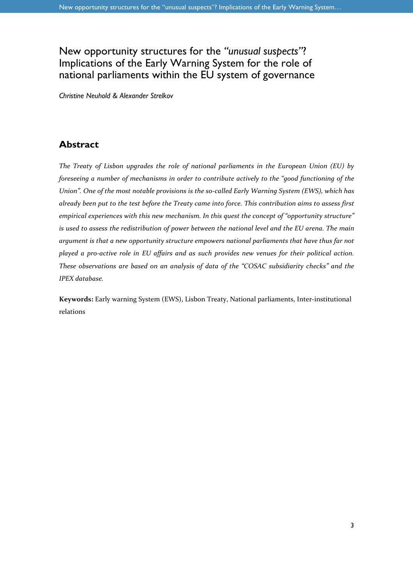## New opportunity structures for the *"unusual suspects"*? Implications of the Early Warning System for the role of national parliaments within the EU system of governance

*Christine Neuhold & Alexander Strelkov* 

### **Abstract**

*The Treaty of Lisbon upgrades the role of national parliaments in the European Union (EU) by foreseeing a number of mechanisms in order to contribute actively to the "good functioning of the Union". One of the most notable provisions is the so-called Early Warning System (EWS), which has already been put to the test before the Treaty came into force. This contribution aims to assess first empirical experiences with this new mechanism. In this quest the concept of "opportunity structure" is used to assess the redistribution of power between the national level and the EU arena. The main argument is that a new opportunity structure empowers national parliaments that have thus far not played a pro-active role in EU affairs and as such provides new venues for their political action. These observations are based on an analysis of data of the "COSAC subsidiarity checks" and the IPEX database.* 

**Keywords:** Early warning System (EWS), Lisbon Treaty, National parliaments, Inter-institutional relations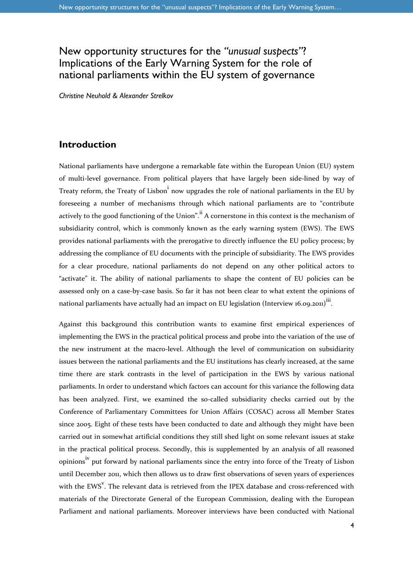# New opportunity structures for the *"unusual suspects"*? Implications of the Early Warning System for the role of national parliaments within the EU system of governance

*Christine Neuhold & Alexander Strelkov* 

#### **Introduction**

National parliaments have undergone a remarkable fate within the European Union (EU) system of multi-level governance. From political players that have largely been side-lined by way of Treaty reform, the Treaty of Lisbon<sup>i</sup> now upgrades the role of national parliaments in the EU by foreseeing a number of mechanisms through which national parliaments are to "contribute actively to the good functioning of the Union".<sup>ii</sup> A cornerstone in this context is the mechanism of subsidiarity control, which is commonly known as the early warning system (EWS). The EWS provides national parliaments with the prerogative to directly influence the EU policy process; by addressing the compliance of EU documents with the principle of subsidiarity. The EWS provides for a clear procedure, national parliaments do not depend on any other political actors to "activate" it. The ability of national parliaments to shape the content of EU policies can be assessed only on a case-by-case basis. So far it has not been clear to what extent the opinions of national parliaments have actually had an impact on EU legislation (Interview 16.09.2011)<sup>iii</sup>.

Against this background this contribution wants to examine first empirical experiences of implementing the EWS in the practical political process and probe into the variation of the use of the new instrument at the macro-level. Although the level of communication on subsidiarity issues between the national parliaments and the EU institutions has clearly increased, at the same time there are stark contrasts in the level of participation in the EWS by various national parliaments. In order to understand which factors can account for this variance the following data has been analyzed. First, we examined the so-called subsidiarity checks carried out by the Conference of Parliamentary Committees for Union Affairs (COSAC) across all Member States since 2005. Eight of these tests have been conducted to date and although they might have been carried out in somewhat artificial conditions they still shed light on some relevant issues at stake in the practical political process. Secondly, this is supplemented by an analysis of all reasoned opinions<sup>iv</sup> put forward by national parliaments since the entry into force of the Treaty of Lisbon until December 2011, which then allows us to draw first observations of seven years of experiences with the EWS<sup>V</sup>. The relevant data is retrieved from the IPEX database and cross-referenced with materials of the Directorate General of the European Commission, dealing with the European Parliament and national parliaments. Moreover interviews have been conducted with National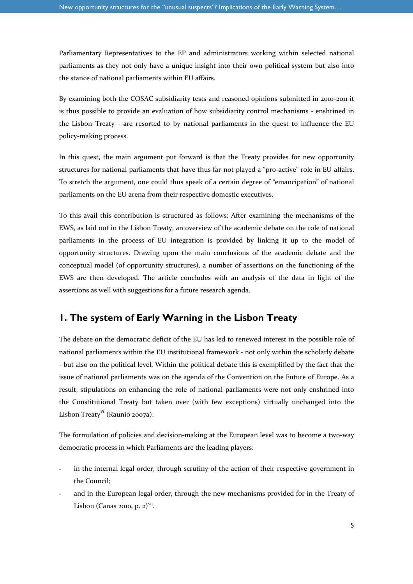Parliamentary Representatives to the EP and administrators working within selected national parliaments as they not only have a unique insight into their own political system but also into the stance of national parliaments within EU affairs.

By examining both the COSAC subsidiarity tests and reasoned opinions submitted in 2010-2011 it is thus possible to provide an evaluation of how subsidiarity control mechanisms - enshrined in the Lisbon Treaty - are resorted to by national parliaments in the quest to influence the EU policy-making process.

In this quest, the main argument put forward is that the Treaty provides for new opportunity structures for national parliaments that have thus far-not played a "pro-active" role in EU affairs. To stretch the argument, one could thus speak of a certain degree of "emancipation" of national parliaments on the EU arena from their respective domestic executives.

To this avail this contribution is structured as follows: After examining the mechanisms of the EWS, as laid out in the Lisbon Treaty, an overview of the academic debate on the role of national parliaments in the process of EU integration is provided by linking it up to the model of opportunity structures. Drawing upon the main conclusions of the academic debate and the conceptual model (of opportunity structures), a number of assertions on the functioning of the EWS are then developed. The article concludes with an analysis of the data in light of the assertions as well with suggestions for a future research agenda.

### **1. The system of Early Warning in the Lisbon Treaty**

The debate on the democratic deficit of the EU has led to renewed interest in the possible role of national parliaments within the EU institutional framework - not only within the scholarly debate - but also on the political level. Within the political debate this is exemplified by the fact that the issue of national parliaments was on the agenda of the Convention on the Future of Europe. As a result, stipulations on enhancing the role of national parliaments were not only enshrined into the Constitutional Treaty but taken over (with few exceptions) virtually unchanged into the Lisbon Treaty*vi* (Raunio 2007a).

The formulation of policies and decision-making at the European level was to become a two-way democratic process in which Parliaments are the leading players:

- in the internal legal order, through scrutiny of the action of their respective government in the Council;
- and in the European legal order, through the new mechanisms provided for in the Treaty of Lisbon (Canas 2010, p. 2) $\overline{v}$ <sup>vii</sup>.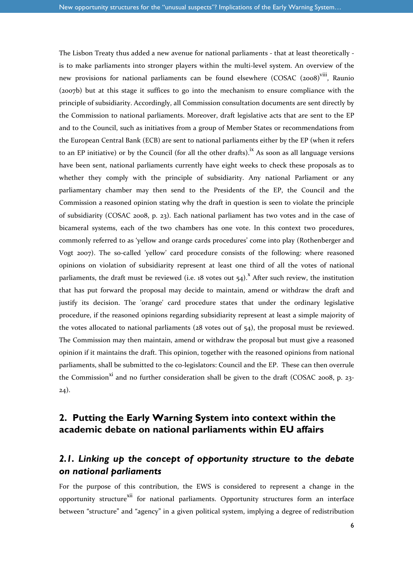The Lisbon Treaty thus added a new avenue for national parliaments - that at least theoretically is to make parliaments into stronger players within the multi-level system. An overview of the new provisions for national parliaments can be found elsewhere (COSAC (2008)<sup>viii</sup>. Raunio (2007b) but at this stage it suffices to go into the mechanism to ensure compliance with the principle of subsidiarity. Accordingly, all Commission consultation documents are sent directly by the Commission to national parliaments. Moreover, draft legislative acts that are sent to the EP and to the Council, such as initiatives from a group of Member States or recommendations from the European Central Bank (ECB) are sent to national parliaments either by the EP (when it refers to an EP initiative) or by the Council (for all the other drafts).<sup>ix</sup> As soon as all language versions have been sent, national parliaments currently have eight weeks to check these proposals as to whether they comply with the principle of subsidiarity. Any national Parliament or any parliamentary chamber may then send to the Presidents of the EP, the Council and the Commission a reasoned opinion stating why the draft in question is seen to violate the principle of subsidiarity (COSAC 2008, p. 23). Each national parliament has two votes and in the case of bicameral systems, each of the two chambers has one vote. In this context two procedures, commonly referred to as 'yellow and orange cards procedures' come into play (Rothenberger and Vogt 2007). The so-called 'yellow' card procedure consists of the following: where reasoned opinions on violation of subsidiarity represent at least one third of all the votes of national parliaments, the draft must be reviewed (i.e. 18 votes out  $54)$ .<sup>x</sup> After such review, the institution that has put forward the proposal may decide to maintain, amend or withdraw the draft and justify its decision. The 'orange' card procedure states that under the ordinary legislative procedure, if the reasoned opinions regarding subsidiarity represent at least a simple majority of the votes allocated to national parliaments ( $28$  votes out of  $54$ ), the proposal must be reviewed. The Commission may then maintain, amend or withdraw the proposal but must give a reasoned opinion if it maintains the draft. This opinion, together with the reasoned opinions from national parliaments, shall be submitted to the co-legislators: Council and the EP. These can then overrule the Commission<sup>xi</sup> and no further consideration shall be given to the draft (COSAC 2008, p. 23-24).

### **2. Putting the Early Warning System into context within the academic debate on national parliaments within EU affairs**

### *2.1. Linking up the concept of opportunity structure to the debate on national parliaments*

For the purpose of this contribution, the EWS is considered to represent a change in the opportunity structure<sup>xii</sup> for national parliaments. Opportunity structures form an interface between "structure" and "agency" in a given political system, implying a degree of redistribution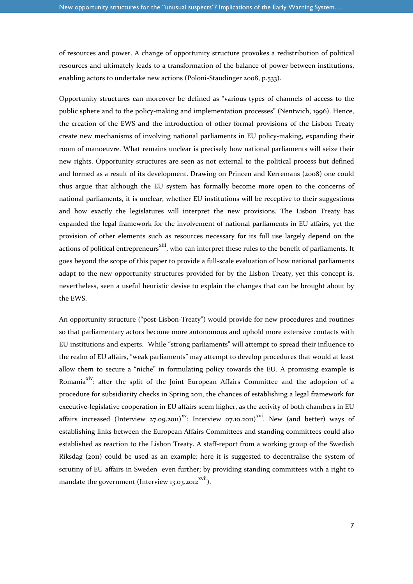of resources and power. A change of opportunity structure provokes a redistribution of political resources and ultimately leads to a transformation of the balance of power between institutions, enabling actors to undertake new actions (Poloni-Staudinger 2008, p.533).

Opportunity structures can moreover be defined as "various types of channels of access to the public sphere and to the policy-making and implementation processes" (Nentwich, 1996). Hence, the creation of the EWS and the introduction of other formal provisions of the Lisbon Treaty create new mechanisms of involving national parliaments in EU policy-making, expanding their room of manoeuvre. What remains unclear is precisely how national parliaments will seize their new rights. Opportunity structures are seen as not external to the political process but defined and formed as a result of its development. Drawing on Princen and Kerremans (2008) one could thus argue that although the EU system has formally become more open to the concerns of national parliaments, it is unclear, whether EU institutions will be receptive to their suggestions and how exactly the legislatures will interpret the new provisions. The Lisbon Treaty has expanded the legal framework for the involvement of national parliaments in EU affairs, yet the provision of other elements such as resources necessary for its full use largely depend on the actions of political entrepreneurs<sup>xiii</sup>, who can interpret these rules to the benefit of parliaments. It goes beyond the scope of this paper to provide a full-scale evaluation of how national parliaments adapt to the new opportunity structures provided for by the Lisbon Treaty, yet this concept is, nevertheless, seen a useful heuristic devise to explain the changes that can be brought about by the EWS.

An opportunity structure ("post-Lisbon-Treaty") would provide for new procedures and routines so that parliamentary actors become more autonomous and uphold more extensive contacts with EU institutions and experts. While "strong parliaments" will attempt to spread their influence to the realm of EU affairs, "weak parliaments" may attempt to develop procedures that would at least allow them to secure a "niche" in formulating policy towards the EU. A promising example is Romania<sup>xiv</sup>: after the split of the Joint European Affairs Committee and the adoption of a procedure for subsidiarity checks in Spring 2011, the chances of establishing a legal framework for executive-legislative cooperation in EU affairs seem higher, as the activity of both chambers in EU affairs increased (Interview 27.09.2011)<sup>XV</sup>; Interview 07.10.2011)<sup>XVI</sup>. New (and better) ways of establishing links between the European Affairs Committees and standing committees could also established as reaction to the Lisbon Treaty. A staff-report from a working group of the Swedish Riksdag (2011) could be used as an example: here it is suggested to decentralise the system of scrutiny of EU affairs in Sweden even further; by providing standing committees with a right to mandate the government (Interview 13.03.2012 $\frac{2001}{20}$ ).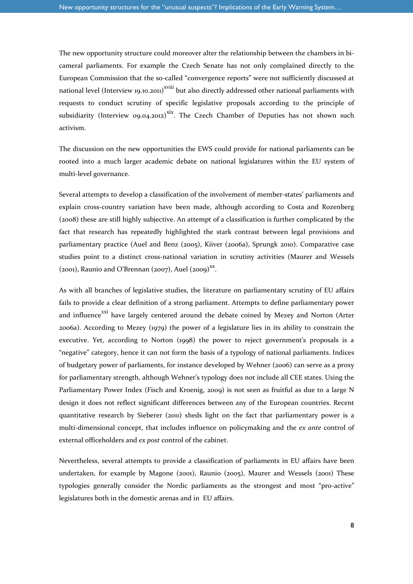The new opportunity structure could moreover alter the relationship between the chambers in bicameral parliaments. For example the Czech Senate has not only complained directly to the European Commission that the so-called "convergence reports" were not sufficiently discussed at national level (Interview 19.10.2011)<sup>xviii</sup> but also directly addressed other national parliaments with requests to conduct scrutiny of specific legislative proposals according to the principle of subsidiarity (Interview 09.04.2012)<sup>xix</sup>. The Czech Chamber of Deputies has not shown such activism.

The discussion on the new opportunities the EWS could provide for national parliaments can be rooted into a much larger academic debate on national legislatures within the EU system of multi-level governance.

Several attempts to develop a classification of the involvement of member-states' parliaments and explain cross-country variation have been made, although according to Costa and Rozenberg (2008) these are still highly subjective. An attempt of a classification is further complicated by the fact that research has repeatedly highlighted the stark contrast between legal provisions and parliamentary practice (Auel and Benz (2005), Kiiver (2006a), Sprungk 2010). Comparative case studies point to a distinct cross-national variation in scrutiny activities (Maurer and Wessels (2001), Raunio and O'Brennan (2007), Auel (2009)<sup>xx</sup>.

As with all branches of legislative studies, the literature on parliamentary scrutiny of EU affairs fails to provide a clear definition of a strong parliament. Attempts to define parliamentary power and influence<sup>xxi</sup> have largely centered around the debate coined by Mezey and Norton (Arter 2006a). According to Mezey (1979) the power of a legislature lies in its ability to constrain the executive. Yet, according to Norton (1998) the power to reject government's proposals is a "negative" category, hence it can not form the basis of a typology of national parliaments. Indices of budgetary power of parliaments, for instance developed by Wehner (2006) can serve as a proxy for parliamentary strength, although Wehner's typology does not include all CEE states. Using the Parliamentary Power Index (Fisch and Kroenig, 2009) is not seen as fruitful as due to a large N design it does not reflect significant differences between any of the European countries. Recent quantitative research by Sieberer (2011) sheds light on the fact that parliamentary power is a multi-dimensional concept, that includes influence on policymaking and the *ex ante* control of external officeholders and *ex post* control of the cabinet.

Nevertheless, several attempts to provide a classification of parliaments in EU affairs have been undertaken, for example by Magone (2001), Raunio (2005), Maurer and Wessels (2001) These typologies generally consider the Nordic parliaments as the strongest and most "pro-active" legislatures both in the domestic arenas and in EU affairs.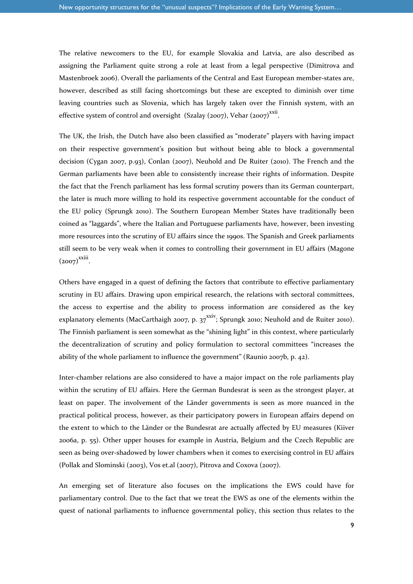The relative newcomers to the EU, for example Slovakia and Latvia, are also described as assigning the Parliament quite strong a role at least from a legal perspective (Dimitrova and Mastenbroek 2006). Overall the parliaments of the Central and East European member-states are, however, described as still facing shortcomings but these are excepted to diminish over time leaving countries such as Slovenia, which has largely taken over the Finnish system, with an effective system of control and oversight (Szalay (2007), Vehar (2007)<sup>xxii</sup>.

The UK, the Irish, the Dutch have also been classified as "moderate" players with having impact on their respective government's position but without being able to block a governmental decision (Cygan 2007, p.93), Conlan (2007), Neuhold and De Ruiter (2010). The French and the German parliaments have been able to consistently increase their rights of information. Despite the fact that the French parliament has less formal scrutiny powers than its German counterpart, the later is much more willing to hold its respective government accountable for the conduct of the EU policy (Sprungk 2010). The Southern European Member States have traditionally been coined as "laggards", where the Italian and Portuguese parliaments have, however, been investing more resources into the scrutiny of EU affairs since the 1990s. The Spanish and Greek parliaments still seem to be very weak when it comes to controlling their government in EU affairs (Magone  $(2007)^{xxiii}$ .

Others have engaged in a quest of defining the factors that contribute to effective parliamentary scrutiny in EU affairs. Drawing upon empirical research, the relations with sectoral committees, the access to expertise and the ability to process information are considered as the key explanatory elements (MacCarthaigh 2007, p. 37<sup>xxiv</sup>; Sprungk 2010; Neuhold and de Ruiter 2010). The Finnish parliament is seen somewhat as the "shining light" in this context, where particularly the decentralization of scrutiny and policy formulation to sectoral committees "increases the ability of the whole parliament to influence the government" (Raunio 2007b, p. 42).

Inter-chamber relations are also considered to have a major impact on the role parliaments play within the scrutiny of EU affairs. Here the German Bundesrat is seen as the strongest player, at least on paper. The involvement of the Länder governments is seen as more nuanced in the practical political process, however, as their participatory powers in European affairs depend on the extent to which to the Länder or the Bundesrat are actually affected by EU measures (Kiiver 2006a, p. 55). Other upper houses for example in Austria, Belgium and the Czech Republic are seen as being over-shadowed by lower chambers when it comes to exercising control in EU affairs (Pollak and Slominski (2003), Vos et.al (2007), Pitrova and Coxova (2007).

An emerging set of literature also focuses on the implications the EWS could have for parliamentary control. Due to the fact that we treat the EWS as one of the elements within the quest of national parliaments to influence governmental policy, this section thus relates to the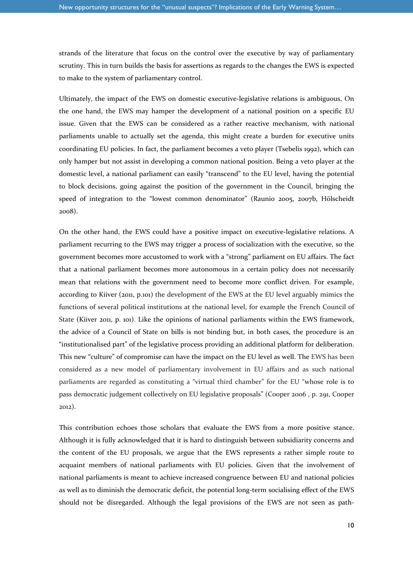strands of the literature that focus on the control over the executive by way of parliamentary scrutiny. This in turn builds the basis for assertions as regards to the changes the EWS is expected to make to the system of parliamentary control.

Ultimately, the impact of the EWS on domestic executive-legislative relations is ambiguous. On the one hand, the EWS may hamper the development of a national position on a specific EU issue. Given that the EWS can be considered as a rather reactive mechanism, with national parliaments unable to actually set the agenda, this might create a burden for executive units coordinating EU policies. In fact, the parliament becomes a veto player (Tsebelis 1992), which can only hamper but not assist in developing a common national position. Being a veto player at the domestic level, a national parliament can easily "transcend" to the EU level, having the potential to block decisions, going against the position of the government in the Council, bringing the speed of integration to the "lowest common denominator" (Raunio 2005, 2007b, Hölscheidt 2008).

On the other hand, the EWS could have a positive impact on executive-legislative relations. A parliament recurring to the EWS may trigger a process of socialization with the executive, so the government becomes more accustomed to work with a "strong" parliament on EU affairs. The fact that a national parliament becomes more autonomous in a certain policy does not necessarily mean that relations with the government need to become more conflict driven. For example, according to Kiiver (2011, p.101) the development of the EWS at the EU level arguably mimics the functions of several political institutions at the national level, for example the French Council of State (Kiiver 2011, p. 101). Like the opinions of national parliaments within the EWS framework, the advice of a Council of State on bills is not binding but, in both cases, the procedure is an "institutionalised part" of the legislative process providing an additional platform for deliberation. This new "culture" of compromise can have the impact on the EU level as well. The EWS has been considered as a new model of parliamentary involvement in EU affairs and as such national parliaments are regarded as constituting a "virtual third chamber" for the EU "whose role is to pass democratic judgement collectively on EU legislative proposals" (Cooper 2006 , p. 291, Cooper 2012).

This contribution echoes those scholars that evaluate the EWS from a more positive stance. Although it is fully acknowledged that it is hard to distinguish between subsidiarity concerns and the content of the EU proposals, we argue that the EWS represents a rather simple route to acquaint members of national parliaments with EU policies. Given that the involvement of national parliaments is meant to achieve increased congruence between EU and national policies as well as to diminish the democratic deficit, the potential long-term socialising effect of the EWS should not be disregarded. Although the legal provisions of the EWS are not seen as path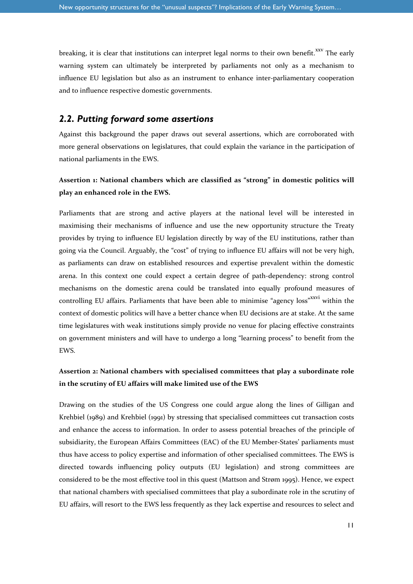breaking, it is clear that institutions can interpret legal norms to their own benefit.<sup>xxv</sup> The early warning system can ultimately be interpreted by parliaments not only as a mechanism to influence EU legislation but also as an instrument to enhance inter-parliamentary cooperation and to influence respective domestic governments.

#### *2.2. Putting forward some assertions*

Against this background the paper draws out several assertions, which are corroborated with more general observations on legislatures, that could explain the variance in the participation of national parliaments in the EWS.

#### **Assertion 1: National chambers which are classified as "strong" in domestic politics will play an enhanced role in the EWS.**

Parliaments that are strong and active players at the national level will be interested in maximising their mechanisms of influence and use the new opportunity structure the Treaty provides by trying to influence EU legislation directly by way of the EU institutions, rather than going via the Council. Arguably, the "cost" of trying to influence EU affairs will not be very high, as parliaments can draw on established resources and expertise prevalent within the domestic arena. In this context one could expect a certain degree of path-dependency: strong control mechanisms on the domestic arena could be translated into equally profound measures of controlling EU affairs. Parliaments that have been able to minimise "agency loss"<sup>xxvi</sup> within the context of domestic politics will have a better chance when EU decisions are at stake. At the same time legislatures with weak institutions simply provide no venue for placing effective constraints on government ministers and will have to undergo a long "learning process" to benefit from the EWS.

#### **Assertion 2: National chambers with specialised committees that play a subordinate role in the scrutiny of EU affairs will make limited use of the EWS**

Drawing on the studies of the US Congress one could argue along the lines of Gilligan and Krehbiel (1989) and Krehbiel (1991) by stressing that specialised committees cut transaction costs and enhance the access to information. In order to assess potential breaches of the principle of subsidiarity, the European Affairs Committees (EAC) of the EU Member-States' parliaments must thus have access to policy expertise and information of other specialised committees. The EWS is directed towards influencing policy outputs (EU legislation) and strong committees are considered to be the most effective tool in this quest (Mattson and Strøm 1995). Hence, we expect that national chambers with specialised committees that play a subordinate role in the scrutiny of EU affairs, will resort to the EWS less frequently as they lack expertise and resources to select and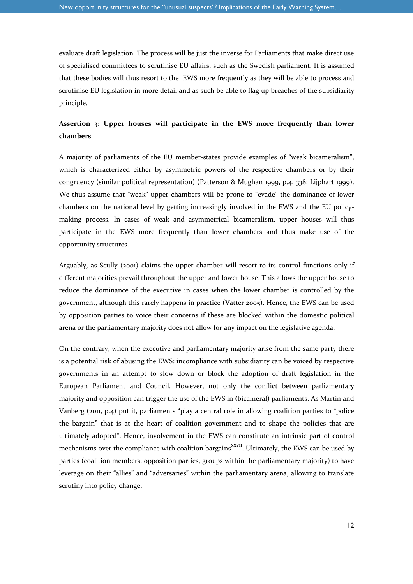evaluate draft legislation. The process will be just the inverse for Parliaments that make direct use of specialised committees to scrutinise EU affairs, such as the Swedish parliament. It is assumed that these bodies will thus resort to the EWS more frequently as they will be able to process and scrutinise EU legislation in more detail and as such be able to flag up breaches of the subsidiarity principle.

#### **Assertion 3: Upper houses will participate in the EWS more frequently than lower chambers**

A majority of parliaments of the EU member-states provide examples of "weak bicameralism", which is characterized either by asymmetric powers of the respective chambers or by their congruency (similar political representation) (Patterson & Mughan 1999, p.4, 338; Lijphart 1999). We thus assume that "weak" upper chambers will be prone to "evade" the dominance of lower chambers on the national level by getting increasingly involved in the EWS and the EU policymaking process. In cases of weak and asymmetrical bicameralism, upper houses will thus participate in the EWS more frequently than lower chambers and thus make use of the opportunity structures.

Arguably, as Scully (2001) claims the upper chamber will resort to its control functions only if different majorities prevail throughout the upper and lower house. This allows the upper house to reduce the dominance of the executive in cases when the lower chamber is controlled by the government, although this rarely happens in practice (Vatter 2005). Hence, the EWS can be used by opposition parties to voice their concerns if these are blocked within the domestic political arena or the parliamentary majority does not allow for any impact on the legislative agenda.

On the contrary, when the executive and parliamentary majority arise from the same party there is a potential risk of abusing the EWS: incompliance with subsidiarity can be voiced by respective governments in an attempt to slow down or block the adoption of draft legislation in the European Parliament and Council. However, not only the conflict between parliamentary majority and opposition can trigger the use of the EWS in (bicameral) parliaments. As Martin and Vanberg (2011, p.4) put it, parliaments "play a central role in allowing coalition parties to "police the bargain" that is at the heart of coalition government and to shape the policies that are ultimately adopted". Hence, involvement in the EWS can constitute an intrinsic part of control mechanisms over the compliance with coalition bargains<sup>xxvii</sup>. Ultimately, the EWS can be used by parties (coalition members, opposition parties, groups within the parliamentary majority) to have leverage on their "allies" and "adversaries" within the parliamentary arena, allowing to translate scrutiny into policy change.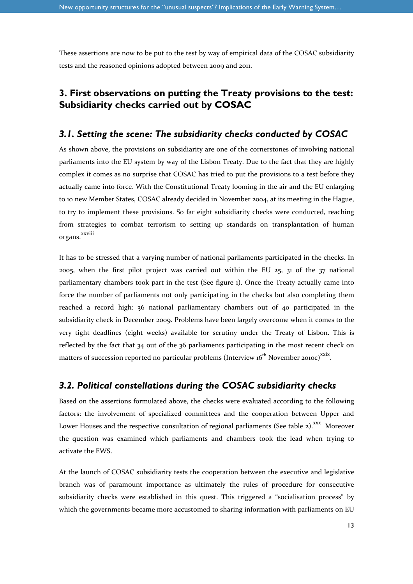These assertions are now to be put to the test by way of empirical data of the COSAC subsidiarity tests and the reasoned opinions adopted between 2009 and 2011.

### **3. First observations on putting the Treaty provisions to the test: Subsidiarity checks carried out by COSAC**

#### *3.1. Setting the scene: The subsidiarity checks conducted by COSAC*

As shown above, the provisions on subsidiarity are one of the cornerstones of involving national parliaments into the EU system by way of the Lisbon Treaty. Due to the fact that they are highly complex it comes as no surprise that COSAC has tried to put the provisions to a test before they actually came into force. With the Constitutional Treaty looming in the air and the EU enlarging to 10 new Member States, COSAC already decided in November 2004, at its meeting in the Hague, to try to implement these provisions. So far eight subsidiarity checks were conducted, reaching from strategies to combat terrorism to setting up standards on transplantation of human organs. xxviii

It has to be stressed that a varying number of national parliaments participated in the checks. In 2005, when the first pilot project was carried out within the EU 25, 31 of the 37 national parliamentary chambers took part in the test (See figure 1). Once the Treaty actually came into force the number of parliaments not only participating in the checks but also completing them reached a record high: 36 national parliamentary chambers out of 40 participated in the subsidiarity check in December 2009. Problems have been largely overcome when it comes to the very tight deadlines (eight weeks) available for scrutiny under the Treaty of Lisbon. This is reflected by the fact that 34 out of the 36 parliaments participating in the most recent check on matters of succession reported no particular problems (Interview 16<sup>th</sup> November 2010c)<sup>xxix</sup>.

#### *3.2. Political constellations during the COSAC subsidiarity checks*

Based on the assertions formulated above, the checks were evaluated according to the following factors: the involvement of specialized committees and the cooperation between Upper and Lower Houses and the respective consultation of regional parliaments (See table 2).<sup>XXX</sup> Moreover the question was examined which parliaments and chambers took the lead when trying to activate the EWS.

At the launch of COSAC subsidiarity tests the cooperation between the executive and legislative branch was of paramount importance as ultimately the rules of procedure for consecutive subsidiarity checks were established in this quest. This triggered a "socialisation process" by which the governments became more accustomed to sharing information with parliaments on EU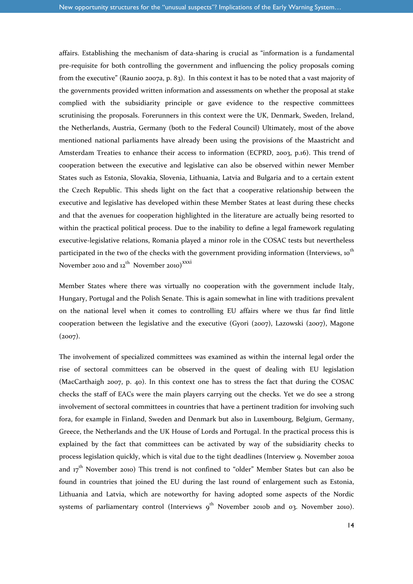affairs. Establishing the mechanism of data-sharing is crucial as "information is a fundamental pre-requisite for both controlling the government and influencing the policy proposals coming from the executive" (Raunio 2007a, p. 83). In this context it has to be noted that a vast majority of the governments provided written information and assessments on whether the proposal at stake complied with the subsidiarity principle or gave evidence to the respective committees scrutinising the proposals. Forerunners in this context were the UK, Denmark, Sweden, Ireland, the Netherlands, Austria, Germany (both to the Federal Council) Ultimately, most of the above mentioned national parliaments have already been using the provisions of the Maastricht and Amsterdam Treaties to enhance their access to information (ECPRD, 2003, p.16). This trend of cooperation between the executive and legislative can also be observed within newer Member States such as Estonia, Slovakia, Slovenia, Lithuania, Latvia and Bulgaria and to a certain extent the Czech Republic. This sheds light on the fact that a cooperative relationship between the executive and legislative has developed within these Member States at least during these checks and that the avenues for cooperation highlighted in the literature are actually being resorted to within the practical political process. Due to the inability to define a legal framework regulating executive-legislative relations, Romania played a minor role in the COSAC tests but nevertheless participated in the two of the checks with the government providing information (Interviews, 10<sup>th</sup> November 2010 and 12<sup>th</sup> November 2010)<sup>xxxi</sup>

Member States where there was virtually no cooperation with the government include Italy, Hungary, Portugal and the Polish Senate. This is again somewhat in line with traditions prevalent on the national level when it comes to controlling EU affairs where we thus far find little cooperation between the legislative and the executive (Gyori (2007), Lazowski (2007), Magone  $(2007).$ 

The involvement of specialized committees was examined as within the internal legal order the rise of sectoral committees can be observed in the quest of dealing with EU legislation (MacCarthaigh 2007, p. 40). In this context one has to stress the fact that during the COSAC checks the staff of EACs were the main players carrying out the checks. Yet we do see a strong involvement of sectoral committees in countries that have a pertinent tradition for involving such fora, for example in Finland, Sweden and Denmark but also in Luxembourg, Belgium, Germany, Greece, the Netherlands and the UK House of Lords and Portugal. In the practical process this is explained by the fact that committees can be activated by way of the subsidiarity checks to process legislation quickly, which is vital due to the tight deadlines (Interview 9. November 2010a and 17<sup>th</sup> November 2010) This trend is not confined to "older" Member States but can also be found in countries that joined the EU during the last round of enlargement such as Estonia, Lithuania and Latvia, which are noteworthy for having adopted some aspects of the Nordic systems of parliamentary control (Interviews  $9^{th}$  November 2010b and 03. November 2010).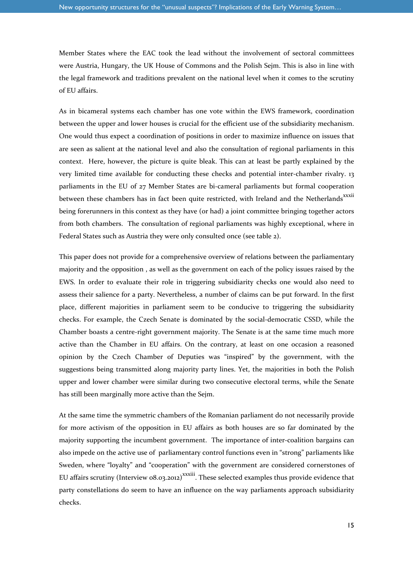Member States where the EAC took the lead without the involvement of sectoral committees were Austria, Hungary, the UK House of Commons and the Polish Sejm. This is also in line with the legal framework and traditions prevalent on the national level when it comes to the scrutiny of EU affairs.

As in bicameral systems each chamber has one vote within the EWS framework, coordination between the upper and lower houses is crucial for the efficient use of the subsidiarity mechanism. One would thus expect a coordination of positions in order to maximize influence on issues that are seen as salient at the national level and also the consultation of regional parliaments in this context. Here, however, the picture is quite bleak. This can at least be partly explained by the very limited time available for conducting these checks and potential inter-chamber rivalry. 13 parliaments in the EU of 27 Member States are bi-cameral parliaments but formal cooperation between these chambers has in fact been quite restricted, with Ireland and the Netherlands<sup>xxxii</sup> being forerunners in this context as they have (or had) a joint committee bringing together actors from both chambers. The consultation of regional parliaments was highly exceptional, where in Federal States such as Austria they were only consulted once (see table 2).

This paper does not provide for a comprehensive overview of relations between the parliamentary majority and the opposition , as well as the government on each of the policy issues raised by the EWS. In order to evaluate their role in triggering subsidiarity checks one would also need to assess their salience for a party. Nevertheless, a number of claims can be put forward. In the first place, different majorities in parliament seem to be conducive to triggering the subsidiarity checks. For example, the Czech Senate is dominated by the social-democratic CSSD, while the Chamber boasts a centre-right government majority. The Senate is at the same time much more active than the Chamber in EU affairs. On the contrary, at least on one occasion a reasoned opinion by the Czech Chamber of Deputies was "inspired" by the government, with the suggestions being transmitted along majority party lines. Yet, the majorities in both the Polish upper and lower chamber were similar during two consecutive electoral terms, while the Senate has still been marginally more active than the Sejm.

At the same time the symmetric chambers of the Romanian parliament do not necessarily provide for more activism of the opposition in EU affairs as both houses are so far dominated by the majority supporting the incumbent government. The importance of inter-coalition bargains can also impede on the active use of parliamentary control functions even in "strong" parliaments like Sweden, where "loyalty" and "cooperation" with the government are considered cornerstones of EU affairs scrutiny (Interview  $0.032012$ <sup>xxxiii</sup>. These selected examples thus provide evidence that party constellations do seem to have an influence on the way parliaments approach subsidiarity checks.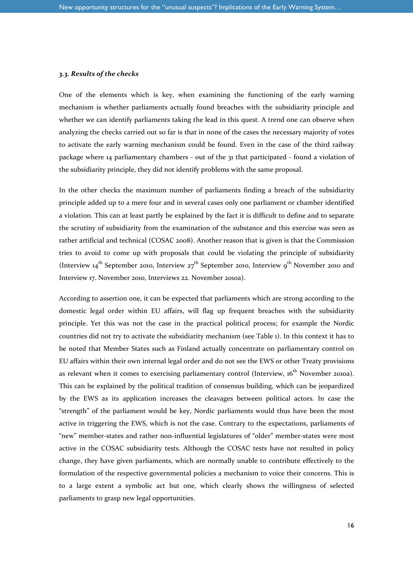#### *3.3. Results of the checks*

One of the elements which is key, when examining the functioning of the early warning mechanism is whether parliaments actually found breaches with the subsidiarity principle and whether we can identify parliaments taking the lead in this quest. A trend one can observe when analyzing the checks carried out so far is that in none of the cases the necessary majority of votes to activate the early warning mechanism could be found. Even in the case of the third railway package where 14 parliamentary chambers - out of the 31 that participated - found a violation of the subsidiarity principle, they did not identify problems with the same proposal.

In the other checks the maximum number of parliaments finding a breach of the subsidiarity principle added up to a mere four and in several cases only one parliament or chamber identified a violation. This can at least partly be explained by the fact it is difficult to define and to separate the scrutiny of subsidiarity from the examination of the substance and this exercise was seen as rather artificial and technical (COSAC 2008). Another reason that is given is that the Commission tries to avoid to come up with proposals that could be violating the principle of subsidiarity (Interview 14<sup>th</sup> September 2010, Interview 27<sup>th</sup> September 2010, Interview 9<sup>th</sup> November 2010 and Interview 17. November 2010, Interviews 22. November 2010a).

According to assertion one, it can be expected that parliaments which are strong according to the domestic legal order within EU affairs, will flag up frequent breaches with the subsidiarity principle. Yet this was not the case in the practical political process; for example the Nordic countries did not try to activate the subsidiarity mechanism (see Table 1). In this context it has to be noted that Member States such as Finland actually concentrate on parliamentary control on EU affairs within their own internal legal order and do not see the EWS or other Treaty provisions as relevant when it comes to exercising parliamentary control (Interview, 16<sup>th</sup> November 2010a). This can be explained by the political tradition of consensus building, which can be jeopardized by the EWS as its application increases the cleavages between political actors. In case the "strength" of the parliament would be key, Nordic parliaments would thus have been the most active in triggering the EWS, which is not the case. Contrary to the expectations, parliaments of "new" member-states and rather non-influential legislatures of "older" member-states were most active in the COSAC subsidiarity tests. Although the COSAC tests have not resulted in policy change, they have given parliaments, which are normally unable to contribute effectively to the formulation of the respective governmental policies a mechanism to voice their concerns. This is to a large extent a symbolic act but one, which clearly shows the willingness of selected parliaments to grasp new legal opportunities.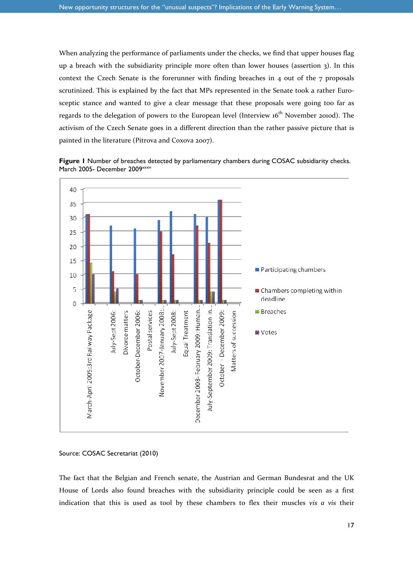When analyzing the performance of parliaments under the checks, we find that upper houses flag up a breach with the subsidiarity principle more often than lower houses (assertion 3). In this context the Czech Senate is the forerunner with finding breaches in 4 out of the 7 proposals scrutinized. This is explained by the fact that MPs represented in the Senate took a rather Eurosceptic stance and wanted to give a clear message that these proposals were going too far as regards to the delegation of powers to the European level (Interview 16<sup>th</sup> November 2010d). The activism of the Czech Senate goes in a different direction than the rather passive picture that is painted in the literature (Pitrova and Coxova 2007).

**Figure 1** Number of breaches detected by parliamentary chambers during COSAC subsidiarity checks. March 2005- December 2009xxxiv



```
Source: COSAC Secretariat (2010)
```
The fact that the Belgian and French senate, the Austrian and German Bundesrat and the UK House of Lords also found breaches with the subsidiarity principle could be seen as a first indication that this is used as tool by these chambers to flex their muscles *vis a vis* their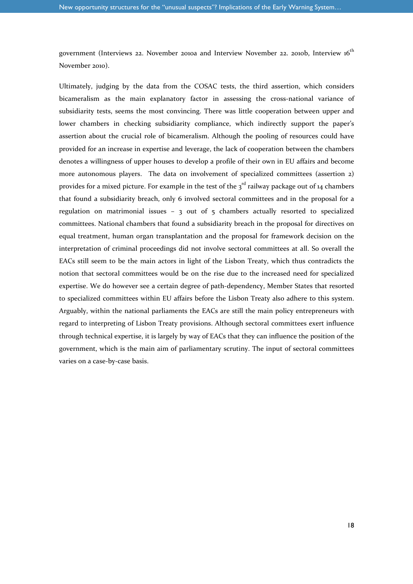government (Interviews 22. November 2010a and Interview November 22. 2010b, Interview 16<sup>th</sup> November 2010).

Ultimately, judging by the data from the COSAC tests, the third assertion, which considers bicameralism as the main explanatory factor in assessing the cross-national variance of subsidiarity tests, seems the most convincing. There was little cooperation between upper and lower chambers in checking subsidiarity compliance, which indirectly support the paper's assertion about the crucial role of bicameralism. Although the pooling of resources could have provided for an increase in expertise and leverage, the lack of cooperation between the chambers denotes a willingness of upper houses to develop a profile of their own in EU affairs and become more autonomous players. The data on involvement of specialized committees (assertion 2) provides for a mixed picture. For example in the test of the  $3<sup>rd</sup>$  railway package out of 14 chambers that found a subsidiarity breach, only 6 involved sectoral committees and in the proposal for a regulation on matrimonial issues  $-$  3 out of 5 chambers actually resorted to specialized committees. National chambers that found a subsidiarity breach in the proposal for directives on equal treatment, human organ transplantation and the proposal for framework decision on the interpretation of criminal proceedings did not involve sectoral committees at all. So overall the EACs still seem to be the main actors in light of the Lisbon Treaty, which thus contradicts the notion that sectoral committees would be on the rise due to the increased need for specialized expertise. We do however see a certain degree of path-dependency, Member States that resorted to specialized committees within EU affairs before the Lisbon Treaty also adhere to this system. Arguably, within the national parliaments the EACs are still the main policy entrepreneurs with regard to interpreting of Lisbon Treaty provisions. Although sectoral committees exert influence through technical expertise, it is largely by way of EACs that they can influence the position of the government, which is the main aim of parliamentary scrutiny. The input of sectoral committees varies on a case-by-case basis.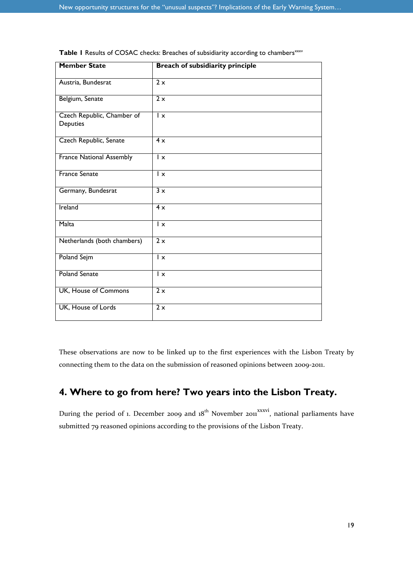| <b>Member State</b>                    | Breach of subsidiarity principle |
|----------------------------------------|----------------------------------|
| Austria, Bundesrat                     | 2x                               |
| Belgium, Senate                        | 2x                               |
| Czech Republic, Chamber of<br>Deputies | $\mathsf{I} \times$              |
| Czech Republic, Senate                 | 4x                               |
| <b>France National Assembly</b>        | Īχ                               |
| <b>France Senate</b>                   | $\mathsf{I} \times$              |
| Germany, Bundesrat                     | 3x                               |
| Ireland                                | 4x                               |
| Malta                                  | $\mathsf{I} \times$              |
| Netherlands (both chambers)            | $\overline{2x}$                  |
| <b>Poland Sejm</b>                     | $\mathsf{I} \times$              |
| <b>Poland Senate</b>                   | $\mathsf{I} \times$              |
| UK, House of Commons                   | 2x                               |
| UK, House of Lords                     | $\overline{2x}$                  |

Table I Results of COSAC checks: Breaches of subsidiarity according to chambers<sup>xxxv</sup>

These observations are now to be linked up to the first experiences with the Lisbon Treaty by connecting them to the data on the submission of reasoned opinions between 2009-2011.

# **4. Where to go from here? Two years into the Lisbon Treaty.**

During the period of 1. December 2009 and  $18<sup>th</sup>$  November 2011<sup>xxxvi</sup>, national parliaments have submitted 79 reasoned opinions according to the provisions of the Lisbon Treaty.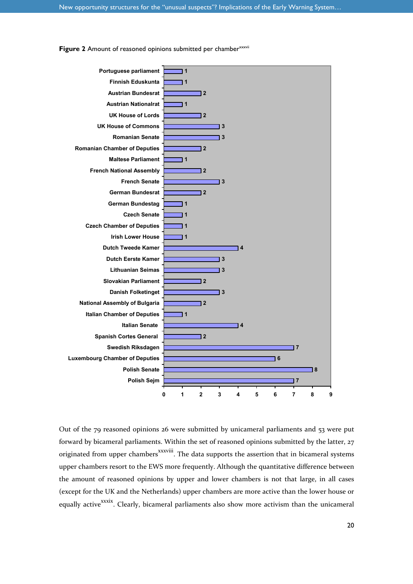

**Figure 2** Amount of reasoned opinions submitted per chamber<sup>xxxvii</sup>

Out of the 79 reasoned opinions 26 were submitted by unicameral parliaments and 53 were put forward by bicameral parliaments. Within the set of reasoned opinions submitted by the latter, 27 originated from upper chambers<sup>xxxviii</sup>. The data supports the assertion that in bicameral systems upper chambers resort to the EWS more frequently. Although the quantitative difference between the amount of reasoned opinions by upper and lower chambers is not that large, in all cases (except for the UK and the Netherlands) upper chambers are more active than the lower house or equally active<sup>xxxix</sup>. Clearly, bicameral parliaments also show more activism than the unicameral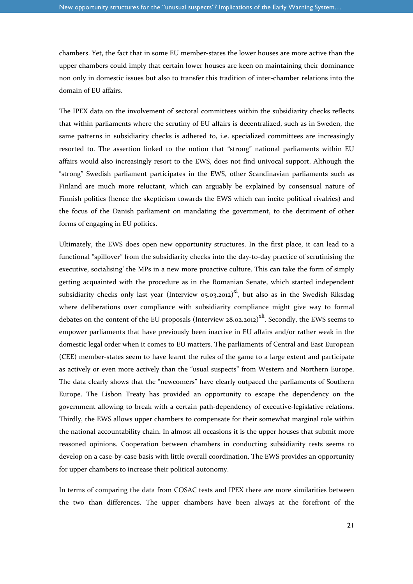chambers. Yet, the fact that in some EU member-states the lower houses are more active than the upper chambers could imply that certain lower houses are keen on maintaining their dominance non only in domestic issues but also to transfer this tradition of inter-chamber relations into the domain of EU affairs.

The IPEX data on the involvement of sectoral committees within the subsidiarity checks reflects that within parliaments where the scrutiny of EU affairs is decentralized, such as in Sweden, the same patterns in subsidiarity checks is adhered to, i.e. specialized committees are increasingly resorted to. The assertion linked to the notion that "strong" national parliaments within EU affairs would also increasingly resort to the EWS, does not find univocal support. Although the "strong" Swedish parliament participates in the EWS, other Scandinavian parliaments such as Finland are much more reluctant, which can arguably be explained by consensual nature of Finnish politics (hence the skepticism towards the EWS which can incite political rivalries) and the focus of the Danish parliament on mandating the government, to the detriment of other forms of engaging in EU politics.

Ultimately, the EWS does open new opportunity structures. In the first place, it can lead to a functional "spillover" from the subsidiarity checks into the day-to-day practice of scrutinising the executive, socialising' the MPs in a new more proactive culture. This can take the form of simply getting acquainted with the procedure as in the Romanian Senate, which started independent subsidiarity checks only last year (Interview 05.03.2012)<sup>xl</sup>, but also as in the Swedish Riksdag where deliberations over compliance with subsidiarity compliance might give way to formal debates on the content of the EU proposals (Interview 28.02.2012)<sup>xli</sup>. Secondly, the EWS seems to empower parliaments that have previously been inactive in EU affairs and/or rather weak in the domestic legal order when it comes to EU matters. The parliaments of Central and East European (CEE) member-states seem to have learnt the rules of the game to a large extent and participate as actively or even more actively than the "usual suspects" from Western and Northern Europe. The data clearly shows that the "newcomers" have clearly outpaced the parliaments of Southern Europe. The Lisbon Treaty has provided an opportunity to escape the dependency on the government allowing to break with a certain path-dependency of executive-legislative relations. Thirdly, the EWS allows upper chambers to compensate for their somewhat marginal role within the national accountability chain. In almost all occasions it is the upper houses that submit more reasoned opinions. Cooperation between chambers in conducting subsidiarity tests seems to develop on a case-by-case basis with little overall coordination. The EWS provides an opportunity for upper chambers to increase their political autonomy.

In terms of comparing the data from COSAC tests and IPEX there are more similarities between the two than differences. The upper chambers have been always at the forefront of the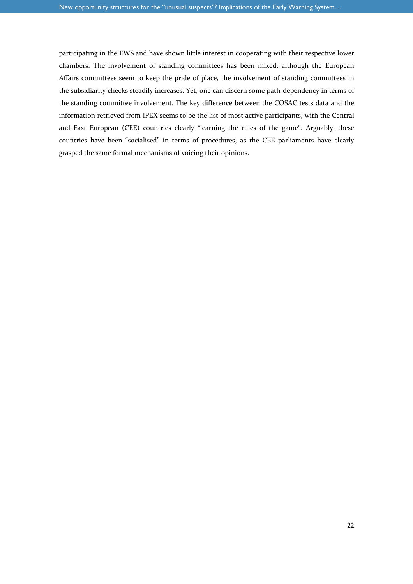participating in the EWS and have shown little interest in cooperating with their respective lower chambers. The involvement of standing committees has been mixed: although the European Affairs committees seem to keep the pride of place, the involvement of standing committees in the subsidiarity checks steadily increases. Yet, one can discern some path-dependency in terms of the standing committee involvement. The key difference between the COSAC tests data and the information retrieved from IPEX seems to be the list of most active participants, with the Central and East European (CEE) countries clearly "learning the rules of the game". Arguably, these countries have been "socialised" in terms of procedures, as the CEE parliaments have clearly grasped the same formal mechanisms of voicing their opinions.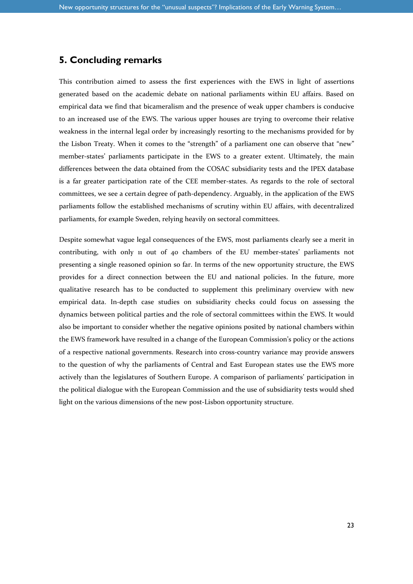#### **5. Concluding remarks**

This contribution aimed to assess the first experiences with the EWS in light of assertions generated based on the academic debate on national parliaments within EU affairs. Based on empirical data we find that bicameralism and the presence of weak upper chambers is conducive to an increased use of the EWS. The various upper houses are trying to overcome their relative weakness in the internal legal order by increasingly resorting to the mechanisms provided for by the Lisbon Treaty. When it comes to the "strength" of a parliament one can observe that "new" member-states' parliaments participate in the EWS to a greater extent. Ultimately, the main differences between the data obtained from the COSAC subsidiarity tests and the IPEX database is a far greater participation rate of the CEE member-states. As regards to the role of sectoral committees, we see a certain degree of path-dependency. Arguably, in the application of the EWS parliaments follow the established mechanisms of scrutiny within EU affairs, with decentralized parliaments, for example Sweden, relying heavily on sectoral committees.

Despite somewhat vague legal consequences of the EWS, most parliaments clearly see a merit in contributing, with only 11 out of 40 chambers of the EU member-states' parliaments not presenting a single reasoned opinion so far. In terms of the new opportunity structure, the EWS provides for a direct connection between the EU and national policies. In the future, more qualitative research has to be conducted to supplement this preliminary overview with new empirical data. In-depth case studies on subsidiarity checks could focus on assessing the dynamics between political parties and the role of sectoral committees within the EWS. It would also be important to consider whether the negative opinions posited by national chambers within the EWS framework have resulted in a change of the European Commission's policy or the actions of a respective national governments. Research into cross-country variance may provide answers to the question of why the parliaments of Central and East European states use the EWS more actively than the legislatures of Southern Europe. A comparison of parliaments' participation in the political dialogue with the European Commission and the use of subsidiarity tests would shed light on the various dimensions of the new post-Lisbon opportunity structure.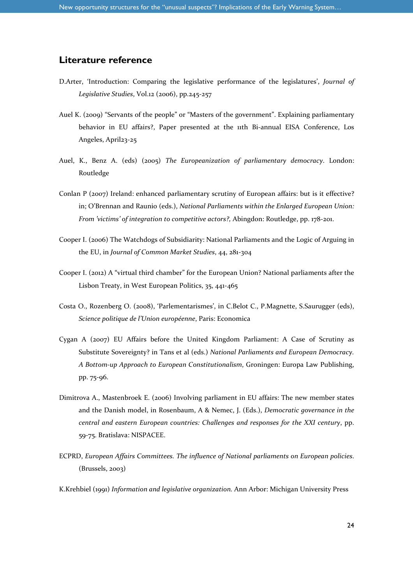#### **Literature reference**

- D.Arter, 'Introduction: Comparing the legislative performance of the legislatures', *Journal of Legislative Studies*, Vol.12 (2006), pp.245-257
- Auel K. (2009) "Servants of the people" or "Masters of the government". Explaining parliamentary behavior in EU affairs?, Paper presented at the 11th Bi-annual EISA Conference, Los Angeles, April23-25
- Auel, K., Benz A. (eds) (2005) *The Europeanization of parliamentary democracy*. London: Routledge
- Conlan P (2007) Ireland: enhanced parliamentary scrutiny of European affairs: but is it effective? in; O'Brennan and Raunio (eds.), *National Parliaments within the Enlarged European Union: From 'victims' of integration to competitive actors?,* Abingdon: Routledge, pp. 178-201.
- Cooper I. (2006) Thе Watchdogs of Subsidiarity: National Parliaments and the Logic of Arguing in the EU, in *Journal of Common Market Studies*, 44, 281-304
- Cooper I. (2012) A "virtual third chamber" for the European Union? National parliaments after the Lisbon Treaty, in West European Politics, 35, 441-465
- Costa O., Rozenberg O. (2008), 'Parlementarismes', in C.Belot C., P.Magnette, S.Saurugger (eds), *Science politique de l'Union européenne*, Paris: Economica
- Cygan A (2007) EU Affairs before the United Kingdom Parliament: A Case of Scrutiny as Substitute Sovereignty? in Tans et al (eds.) *National Parliaments and European Democracy. A Bottom-up Approach to European Constitutionalism*, Groningen: Europa Law Publishing, pp. 75-96.
- Dimitrova A., Mastenbroek E. (2006) Involving parliament in EU affairs: The new member states and the Danish model, in Rosenbaum, A & Nemec, J. (Eds.), *Democratic governance in the central and eastern European countries: Challenges and responses for the XXI century*, pp. 59-75. Bratislava: NISPACEE.
- ECPRD, *European Affairs Committees. The influence of National parliaments on European policies*. (Brussels, 2003)
- K.Krehbiel (1991) *Information and legislative organization.* Ann Arbor: Michigan University Press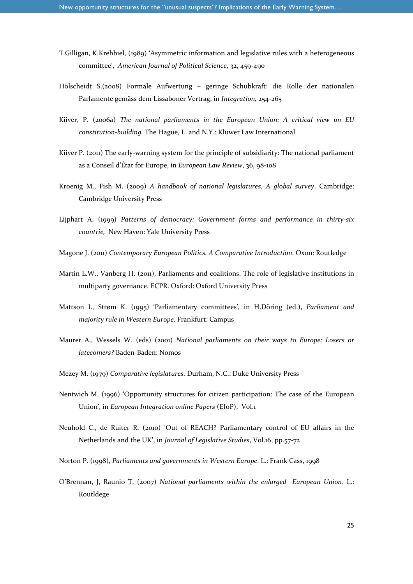- T.Gilligan, K.Krehbiel, (1989) 'Asymmetric information and legislative rules with a heterogeneous committee', *American Journal of Political Science*, 32, 459-490
- Hölscheidt S.(2008) Formale Aufwertung geringe Schubkraft: die Rolle der nationalen Parlamente gemäss dem Lissaboner Vertrag, in *Integration,* 254-265
- Kiiver, P. (2006a) *The national parliaments in the European Union: A critical view on EU constitution-building.* The Hague, L. and N.Y.: Kluwer Law International
- Kiiver P. (2011) The early-warning system for the principle of subsidiarity: The national parliament as a Conseil d'État for Europe, in *European Law Review*, 36, 98-108
- Kroenig M., Fish M. (2009) *A handbook of national legislatures. A global survey*. Cambridge: Cambridge University Press
- Lijphart A. (1999) *Patterns of democracy: Government forms and performance in thirty-six countrie,* New Haven: Yale University Press
- Magone J. (2011) *Contemporary European Politics. A Comparative Introduction*. Oxon: Routledge
- Martin L.W., Vanberg H. (2011), Parliaments and coalitions. The role of legislative institutions in multiparty governance. ECPR. Oxford: Oxford University Press
- Mattson I., Strøm K. (1995) 'Parliamentary committees', in H.Döring (ed.), *Parliament and majority rule in Western Europe*. Frankfurt: Campus
- Maurer A., Wessels W. (eds) (2001) *National parliaments on their ways to Europe: Losers or latecomers?* Baden-Baden: Nomos
- Mezey M. (1979) *Comparative legislatures.* Durham, N.C.: Duke University Press
- Nentwich M. (1996) 'Opportunity structures for citizen participation: The case of the European Union', in *European Integration online Papers* (EIoP), Vol.1
- Neuhold C., de Ruiter R. (2010) 'Out of REACH? Parliamentary control of EU affairs in the Netherlands and the UK', in *Journal of Legislative Studies*, Vol.16, pp.57-72
- Norton P. (1998), *Parliaments and governments in Western Europe*. L.: Frank Cass, 1998
- O'Brennan, J, Raunio T. (2007) *National parliaments within the enlarged European Union*. L.: Routldege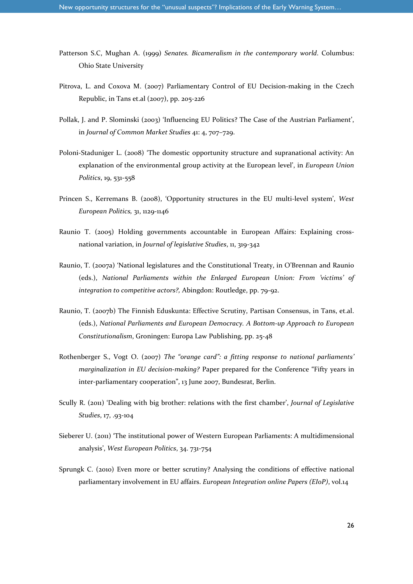- Patterson S.C, Mughan A. (1999) *Senates. Bicameralism in the contemporary world*. Columbus: Ohio State University
- Pitrova, L. and Coxova M. (2007) Parliamentary Control of EU Decision-making in the Czech Republic, in Tans et.al (2007), pp. 205-226
- Pollak, J. and P. Slominski (2003) 'Influencing EU Politics? The Case of the Austrian Parliament', in *Journal of Common Market Studies* 41: 4, 707–729.
- Poloni-Staduniger L. (2008) 'The domestic opportunity structure and supranational activity: An explanation of the environmental group activity at the European level', in *European Union Politics*, 19, 531-558
- Princen S., Kerremans B. (2008), 'Opportunity structures in the EU multi-level system', *West European Politics,* 31, 1129-1146
- Raunio T. (2005) Holding governments accountable in European Affairs: Explaining crossnational variation, in *Journal of legislative Studies*, 11, 319-342
- Raunio, T. (2007a) 'National legislatures and the Constitutional Treaty, in O'Brennan and Raunio (eds.), *National Parliaments within the Enlarged European Union: From 'victims' of integration to competitive actors?,* Abingdon: Routledge, pp. 79-92.
- Raunio, T. (2007b) The Finnish Eduskunta: Effective Scrutiny, Partisan Consensus, in Tans, et.al. (eds.), *National Parliaments and European Democracy. A Bottom-up Approach to European Constitutionalism*, Groningen: Europa Law Publishing, pp. 25-48
- Rothenberger S., Vogt O. (2007) *The "orange card": a fitting response to national parliaments' marginalization in EU decision-making?* Paper prepared for the Conference "Fifty years in inter-parliamentary cooperation", 13 June 2007, Bundesrat, Berlin.
- Scully R. (2011) 'Dealing with big brother: relations with the first chamber', *Journal of Legislative Studies*, 17, .93-104
- Sieberer U. (2011) 'The institutional power of Western European Parliaments: A multidimensional analysis', *West European Politics*, 34. 731-754
- Sprungk C. (2010) Even more or better scrutiny? Analysing the conditions of effective national parliamentary involvement in EU affairs. *European Integration online Papers (EIoP)*, vol.14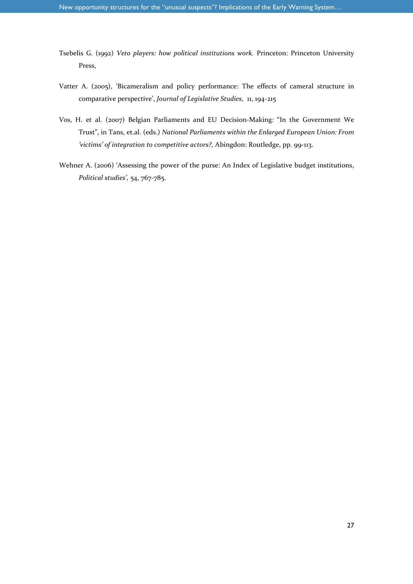- Tsebelis G. (1992) *Veto players: how political institutions work.* Princeton: Princeton University Press,
- Vatter A. (2005), 'Bicameralism and policy performance: The effects of cameral structure in comparative perspective', *Journal of Legislative Studies*, 11, 194-215
- Vos, H. et al. (2007) Belgian Parliaments and EU Decision-Making: "In the Government We Trust", in Tans, et.al. (eds.) *National Parliaments within the Enlarged European Union: From 'victims' of integration to competitive actors?,* Abingdon: Routledge, pp. 99-113.
- Wehner A. (2006) 'Assessing the power of the purse: An Index of Legislative budget institutions, *Political studies',* 54, 767-785.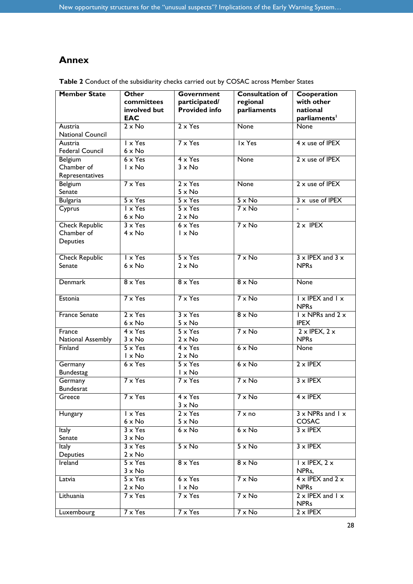# **Annex**

| <b>Member State</b>           | Other<br>committees              | Government<br>participated/      | <b>Consultation of</b><br>regional | Cooperation<br>with other                               |
|-------------------------------|----------------------------------|----------------------------------|------------------------------------|---------------------------------------------------------|
|                               | involved but<br><b>EAC</b>       | Provided info                    | parliaments                        | national<br>parliaments <sup>1</sup>                    |
| Austria<br>National Council   | $2 \times$ No                    | $2 \times Y$ es                  | None                               | <b>None</b>                                             |
| Austria<br>Federal Council    | I x Yes<br>$6 \times No$         | $7 \times Y$ es                  | Ix Yes                             | $4 \times$ use of IPEX                                  |
| Belgium<br>Chamber of         | $6 \times Y$ es<br>I x No        | $4 \times Y$ es<br>$3 \times$ No | None                               | $2 \times$ use of IPEX                                  |
| Representatives<br>Belgium    | $7 \times Y$ es                  | $2 \times Y$ es                  | None                               | $2 \times$ use of IPEX                                  |
| Senate                        |                                  | $5 \times No$                    |                                    |                                                         |
| <b>Bulgaria</b>               | $5 \times Y$ es                  | $5 \times Y$ es                  | $5 \times No$                      | $3x$ use of IPEX                                        |
| Cyprus                        | $1 \times Y$ es<br>$6 \times No$ | $5 \times Y$ es<br>$2 \times No$ | $7 \times$ No                      |                                                         |
| <b>Check Republic</b>         | $3 \times Y$ es                  | $6 \times Y$ es                  | $7 \times$ No                      | $2 \times$ IPEX                                         |
| Chamber of<br><b>Deputies</b> | $4 \times$ No                    | I x No                           |                                    |                                                         |
| <b>Check Republic</b>         | $1 \times Y$ es                  | $5 \times Y$ es                  | $7 \times$ No                      | $3 \times$ IPEX and $3 \times$                          |
| Senate                        | $6 \times No$                    | $2 \times No$                    |                                    | <b>NPRs</b>                                             |
| <b>Denmark</b>                | $8 \times Y$ es                  | $8 \times Y$ es                  | $8 \times$ No                      | None                                                    |
| Estonia                       | $7 \times Y$ es                  | $7 \times Y$ es                  | $7 \times$ No                      | $\vert x \vert$ IPEX and $\vert x \vert$<br><b>NPRs</b> |
| <b>France Senate</b>          | $2 \times Y$ es<br>$6 \times No$ | $3 \times Y$ es<br>$5 \times No$ | $8 \times$ No                      | $1 \times$ NPRs and $2 \times$<br><b>IPEX</b>           |
| France<br>National Assembly   | $4 \times Y$ es<br>$3 \times$ No | $5 \times Y$ es<br>$2 \times No$ | $7 \times$ No                      | $2 \times$ IPEX, $2 \times$<br><b>NPRs</b>              |
| Finland                       | $5 \times Y$ es                  | $4 \times Y$ es                  | $6 \times No$                      | <b>None</b>                                             |
|                               | $1 \times$ No                    | $2 \times No$                    |                                    |                                                         |
| Germany<br><b>Bundestag</b>   | $6 \times Y$ es                  | $5 \times Y$ es<br>I x No        | $6 \times No$                      | $2 \times$ IPEX                                         |
| Germany<br><b>Bundesrat</b>   | $7 \times Y$ es                  | $7 \times Y$ es                  | $7 \times$ No                      | $3 \times$ IPEX                                         |
| Greece                        | 7 x Yes                          | $4 \times Y$ es<br>$3 \times$ No | $7 \times No$                      | $4 \times$ IPEX                                         |
| Hungary                       | I x Yes<br>$6 \times No$         | $2 \times Y$ es<br>$5 \times No$ | $7 \times no$                      | $3 \times$ NPRs and $1 \times$<br>COSAC                 |
| Italy<br>Senate               | $3 \times Y$ es<br>$3 \times$ No | $6 \times$ No                    | $6 \times No$                      | $3 \times$ IPEX                                         |
| Italy                         | $3 \times Y$ es                  | $5 \times No$                    | $5 \times No$                      | $3 \times$ IPEX                                         |
| Deputies<br>Ireland           | $2 \times No$<br>$5 \times Y$ es | $8 \times Y$ es                  | $8 \times$ No                      | $1 \times$ IPEX, $2 \times$                             |
| Latvia                        | $3 \times$ No<br>$5 \times Y$ es | $6 \times Y$ es                  | $7 \times$ No                      | NPRs,<br>$4 \times$ IPEX and $2 \times$                 |
|                               | $2 \times No$                    | I x No                           |                                    | <b>NPRs</b>                                             |
| Lithuania                     | $7 \times Y$ es                  | $7 \times Y$ es                  | $7 \times No$                      | $2 \times$ IPEX and $1 \times$<br><b>NPRs</b>           |
| Luxembourg                    | $7 \times Y$ es                  | $7 \times Y$ es                  | $7 \times No$                      | $2 \times$ IPEX                                         |

**Table 2** Conduct of the subsidiarity checks carried out by COSAC across Member States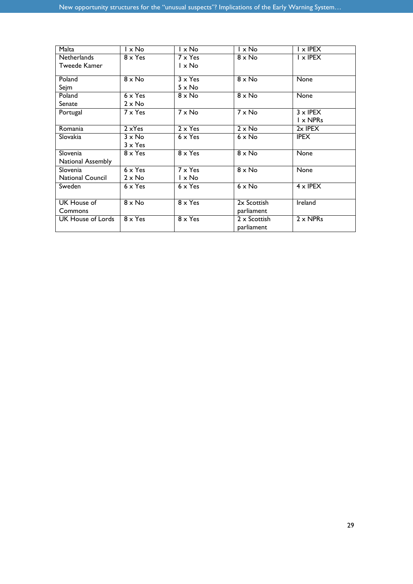| Malta             | $1 \times$ No   | $1 \times$ No   | $l \times No$ | $\mathsf{I} \times \mathsf{IPEX}$ |
|-------------------|-----------------|-----------------|---------------|-----------------------------------|
| Netherlands       | $8 \times Y$ es | $7 \times Y$ es | $8 \times$ No | $\mathsf{I} \times \mathsf{IPEX}$ |
| Tweede Kamer      |                 | $1 \times$ No   |               |                                   |
| Poland            | $8 \times$ No   | $3 \times Y$ es | $8 \times$ No | None                              |
| Sejm              |                 | $5 \times$ No   |               |                                   |
| Poland            | $6 \times Y$ es | $8 \times$ No   | $8 \times$ No | None                              |
| Senate            | $2 \times$ No   |                 |               |                                   |
| Portugal          | $7 \times Y$ es | $7 \times$ No   | $7 \times$ No | $3 \times$ IPEX                   |
|                   |                 |                 |               | $I \times NPRs$                   |
| Romania           | $2 \times Yes$  | $2 \times Y$ es | $2 \times$ No | $2x$ IPEX                         |
| Slovakia          | $3 \times$ No   | $6 \times Y$ es | $6 \times$ No | <b>IPEX</b>                       |
|                   | $3 \times Y$ es |                 |               |                                   |
| Slovenia          | $8 \times Y$ es | $8 \times Y$ es | $8 \times$ No | None                              |
| National Assembly |                 |                 |               |                                   |
| Slovenia          | $6 \times Y$ es | $7 \times Y$ es | $8 \times$ No | None                              |
| National Council  | $2 \times$ No   | $1 \times$ No   |               |                                   |
| Sweden            | $6 \times Y$ es | $6 \times Y$ es | $6 \times$ No | $4 \times$ IPEX                   |
|                   |                 |                 |               |                                   |
| UK House of       | $8 \times$ No   | $8 \times Y$ es | 2x Scottish   | Ireland                           |
| Commons           |                 |                 | parliament    |                                   |
| UK House of Lords | $8 \times Y$ es | $8 \times Y$ es | 2 x Scottish  | $2 \times NPRs$                   |
|                   |                 |                 | parliament    |                                   |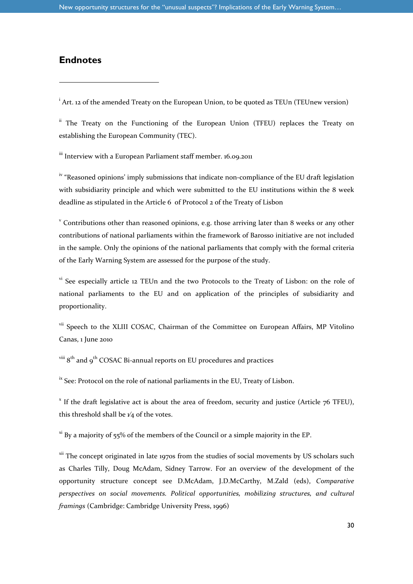#### **Endnotes**

l

<sup>i</sup> Art. 12 of the amended Treaty on the European Union, to be quoted as TEUn (TEUnew version)

<sup>ii</sup> The Treaty on the Functioning of the European Union (TFEU) replaces the Treaty on establishing the European Community (TEC).

<sup>iii</sup> Interview with a European Parliament staff member. 16.09.2011

<sup>iv</sup> "Reasoned opinions' imply submissions that indicate non-compliance of the EU draft legislation with subsidiarity principle and which were submitted to the EU institutions within the 8 week deadline as stipulated in the Article 6 of Protocol 2 of the Treaty of Lisbon

<sup>v</sup> Contributions other than reasoned opinions, e.g. those arriving later than 8 weeks or any other contributions of national parliaments within the framework of Barosso initiative are not included in the sample. Only the opinions of the national parliaments that comply with the formal criteria of the Early Warning System are assessed for the purpose of the study.

<sup>vi</sup> See especially article 12 TEUn and the two Protocols to the Treaty of Lisbon: on the role of national parliaments to the EU and on application of the principles of subsidiarity and proportionality.

<sup>vii</sup> Speech to the XLIII COSAC, Chairman of the Committee on European Affairs, MP Vitolino Canas, 1 June 2010

 $v^{iii}$   $8^{th}$  and  $9^{th}$  COSAC Bi-annual reports on EU procedures and practices

 $\frac{dx}{dt}$  See: Protocol on the role of national parliaments in the EU, Treaty of Lisbon.

 $^x$  If the draft legislative act is about the area of freedom, security and justice (Article  $76$  TFEU), this threshold shall be  $\frac{1}{4}$  of the votes.

 $x$ <sup>i</sup> By a majority of 55% of the members of the Council or a simple majority in the EP.

<sup>xii</sup> The concept originated in late 1970s from the studies of social movements by US scholars such as Charles Tilly, Doug McAdam, Sidney Tarrow. For an overview of the development of the opportunity structure concept see D.McAdam, J.D.McCarthy, M.Zald (eds), *Comparative perspectives on social movements. Political opportunities, mobilizing structures, and cultural framings* (Cambridge: Cambridge University Press, 1996)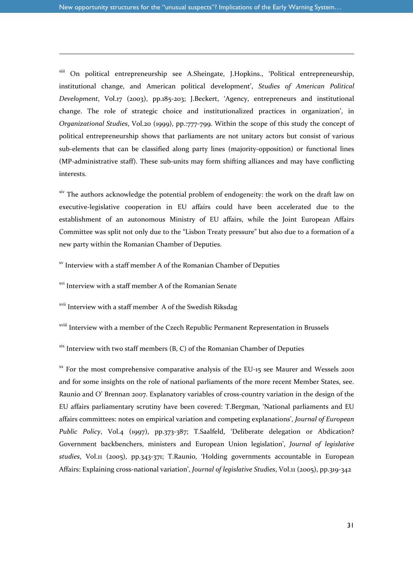xiii On political entrepreneurship see A.Sheingate, J.Hopkins., 'Political entrepreneurship, institutional change, and American political development', *Studies of American Political Development*, Vol.17 (2003), pp.185-203; J.Beckert, 'Agency, entrepreneurs and institutional change. The role of strategic choice and institutionalized practices in organization', in *Organizational Studies*, Vol.20 (1999), pp.:777-799. Within the scope of this study the concept of political entrepreneurship shows that parliaments are not unitary actors but consist of various sub-elements that can be classified along party lines (majority-opposition) or functional lines (MP-administrative staff). These sub-units may form shifting alliances and may have conflicting interests.

<sup>xiv</sup> The authors acknowledge the potential problem of endogeneity: the work on the draft law on executive-legislative cooperation in EU affairs could have been accelerated due to the establishment of an autonomous Ministry of EU affairs, while the Joint European Affairs Committee was split not only due to the "Lisbon Treaty pressure" but also due to a formation of a new party within the Romanian Chamber of Deputies.

xv Interview with a staff member A of the Romanian Chamber of Deputies

<sup>xvi</sup> Interview with a staff member A of the Romanian Senate

-

xvii Interview with a staff member A of the Swedish Riksdag

xviii Interview with a member of the Czech Republic Permanent Representation in Brussels

 $x$ <sup>xix</sup> Interview with two staff members (B, C) of the Romanian Chamber of Deputies

 $\frac{xx}{x}$  For the most comprehensive comparative analysis of the EU-15 see Maurer and Wessels 2001 and for some insights on the role of national parliaments of the more recent Member States, see. Raunio and O' Brennan 2007. Explanatory variables of cross-country variation in the design of the EU affairs parliamentary scrutiny have been covered: T.Bergman, 'National parliaments and EU affairs committees: notes on empirical variation and competing explanations', *Journal of European Public Policy*, Vol.4 (1997), pp.373-387; T.Saalfeld, 'Deliberate delegation or Abdication? Government backbenchers, ministers and European Union legislation', *Journal of legislative studies*, Vol.11 (2005), pp.343-371; T.Raunio, 'Holding governments accountable in European Affairs: Explaining cross-national variation', *Journal of legislative Studies*, Vol.11 (2005), pp.319-342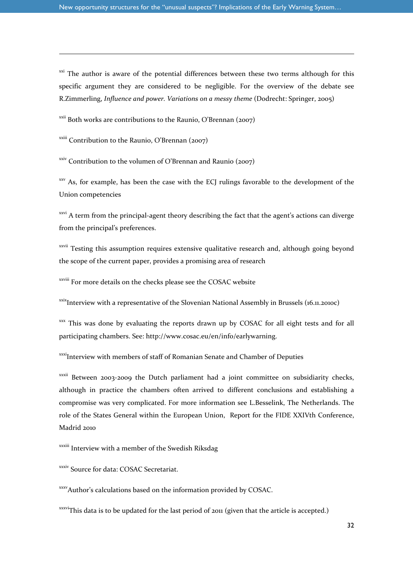<sup>xxi</sup> The author is aware of the potential differences between these two terms although for this specific argument they are considered to be negligible. For the overview of the debate see R.Zimmerling, *Influence and power. Variations on a messy theme* (Dodrecht: Springer, 2005)

 $\frac{xxii}{x}$  Both works are contributions to the Raunio, O'Brennan (2007)

 $x$ <sup>xxiii</sup> Contribution to the Raunio, O'Brennan (2007)

-

 $xxiv$  Contribution to the volumen of O'Brennan and Raunio (2007)

<sup>xxv</sup> As, for example, has been the case with the ECJ rulings favorable to the development of the Union competencies

<sup>xxvi</sup> A term from the principal-agent theory describing the fact that the agent's actions can diverge from the principal's preferences.

<sup>xxvii</sup> Testing this assumption requires extensive qualitative research and, although going beyond the scope of the current paper, provides a promising area of research

xxviii For more details on the checks please see the COSAC website

 $x$ <sup>xxix</sup>Interview with a representative of the Slovenian National Assembly in Brussels (16.11.2010c)

xxx This was done by evaluating the reports drawn up by COSAC for all eight tests and for all participating chambers. See: http://www.cosac.eu/en/info/earlywarning.

xxxi<sub>Interview with members of staff of Romanian Senate and Chamber of Deputies</sub>

xxxii Between 2003-2009 the Dutch parliament had a joint committee on subsidiarity checks, although in practice the chambers often arrived to different conclusions and establishing a compromise was very complicated. For more information see L.Besselink, The Netherlands. The role of the States General within the European Union, Report for the FIDE XXIVth Conference, Madrid 2010

xxxiii Interview with a member of the Swedish Riksdag

xxxiv Source for data: COSAC Secretariat.

xxxvAuthor's calculations based on the information provided by COSAC.

xxxviThis data is to be updated for the last period of 2011 (given that the article is accepted.)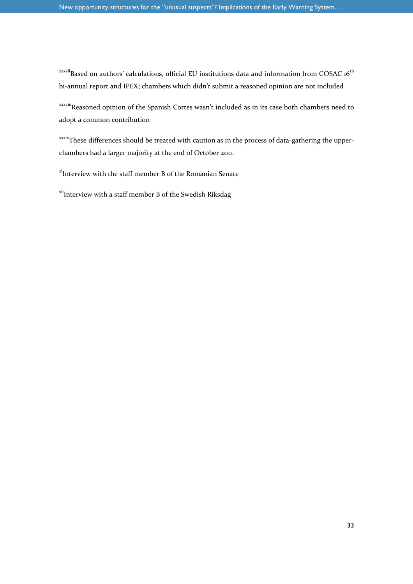$xxxvii$ Based on authors' calculations, official EU institutions data and information from COSAC 16<sup>th</sup> bi-annual report and IPEX; chambers which didn't submit a reasoned opinion are not included

xxxviiiReasoned opinion of the Spanish Cortes wasn't included as in its case both chambers need to adopt a common contribution

xxxixThese differences should be treated with caution as in the process of data-gathering the upperchambers had a larger majority at the end of October 2011.

x<sup>1</sup>Interview with the staff member B of the Romanian Senate

-

<sup>xli</sup>Interview with a staff member B of the Swedish Riksdag